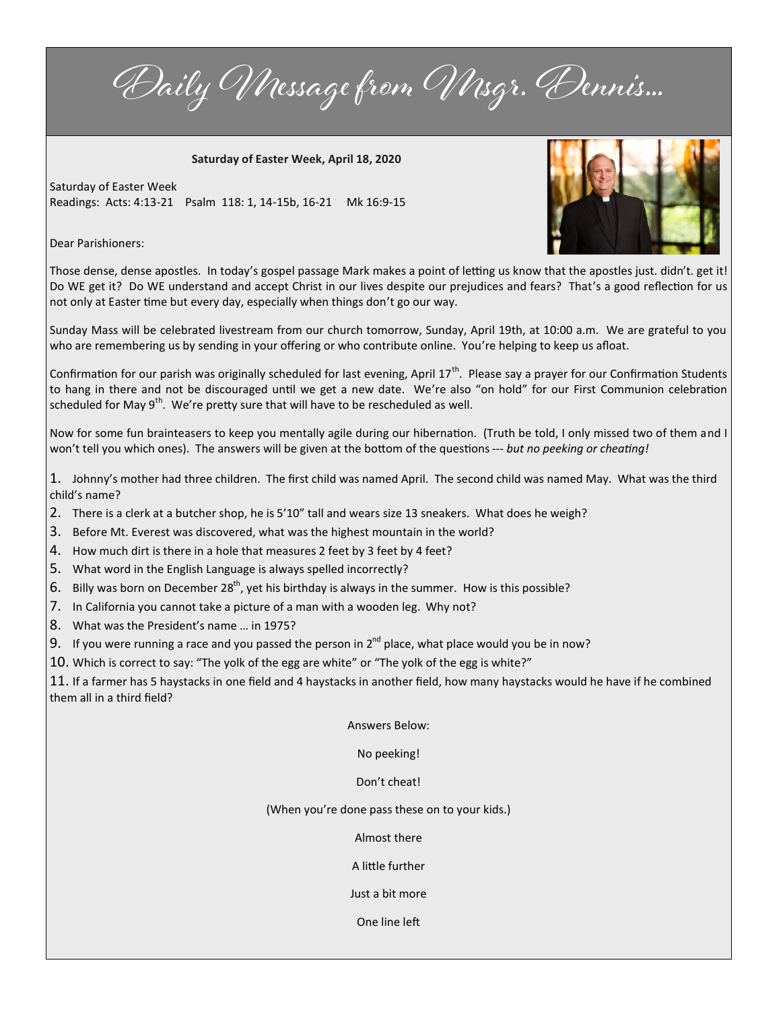Daily Message from Msgr. Dennis...

**Saturday of Easter Week, April 18, 2020**

Saturday of Easter Week Readings: Acts: 4:13-21 Psalm 118: 1, 14-15b, 16-21 Mk 16:9-15

Dear Parishioners:



Those dense, dense apostles. In today's gospel passage Mark makes a point of letting us know that the apostles just. didn't. get it! Do WE get it? Do WE understand and accept Christ in our lives despite our prejudices and fears? That's a good reflection for us not only at Easter time but every day, especially when things don't go our way.

Sunday Mass will be celebrated livestream from our church tomorrow, Sunday, April 19th, at 10:00 a.m. We are grateful to you who are remembering us by sending in your offering or who contribute online. You're helping to keep us afloat.

Confirmation for our parish was originally scheduled for last evening, April 17<sup>th</sup>. Please say a prayer for our Confirmation Students to hang in there and not be discouraged until we get a new date. We're also "on hold" for our First Communion celebration scheduled for May  $9<sup>th</sup>$ . We're pretty sure that will have to be rescheduled as well.

Now for some fun brainteasers to keep you mentally agile during our hibernation. (Truth be told, I only missed two of them and I won't tell you which ones). The answers will be given at the bottom of the questions --- *but no peeking or cheating!*

1. Johnny's mother had three children. The first child was named April. The second child was named May. What was the third child's name?

- 2. There is a clerk at a butcher shop, he is 5'10" tall and wears size 13 sneakers. What does he weigh?
- 3. Before Mt. Everest was discovered, what was the highest mountain in the world?
- 4. How much dirt is there in a hole that measures 2 feet by 3 feet by 4 feet?
- 5. What word in the English Language is always spelled incorrectly?
- 6. Billy was born on December 28<sup>th</sup>, yet his birthday is always in the summer. How is this possible?
- 7. In California you cannot take a picture of a man with a wooden leg. Why not?
- 8. What was the President's name … in 1975?
- 9. If you were running a race and you passed the person in  $2^{nd}$  place, what place would you be in now?
- 10. Which is correct to say: "The yolk of the egg are white" or "The yolk of the egg is white?"

11. If a farmer has 5 haystacks in one field and 4 haystacks in another field, how many haystacks would he have if he combined them all in a third field?

Answers Below:

No peeking!

Don't cheat!

(When you're done pass these on to your kids.)

Almost there

A little further

Just a bit more

One line left